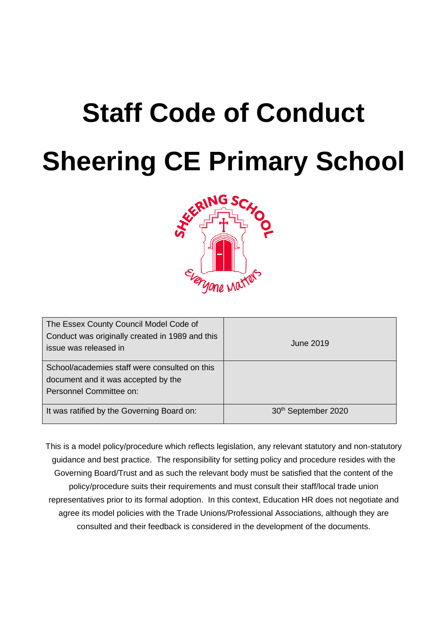# **Staff Code of Conduct Sheering CE Primary School**



| The Essex County Council Model Code of<br>Conduct was originally created in 1989 and this<br>issue was released in | June 2019                       |
|--------------------------------------------------------------------------------------------------------------------|---------------------------------|
| School/academies staff were consulted on this<br>document and it was accepted by the<br>Personnel Committee on:    |                                 |
| It was ratified by the Governing Board on:                                                                         | 30 <sup>th</sup> September 2020 |

This is a model policy/procedure which reflects legislation, any relevant statutory and non-statutory guidance and best practice. The responsibility for setting policy and procedure resides with the Governing Board/Trust and as such the relevant body must be satisfied that the content of the policy/procedure suits their requirements and must consult their staff/local trade union representatives prior to its formal adoption. In this context, Education HR does not negotiate and agree its model policies with the Trade Unions/Professional Associations, although they are consulted and their feedback is considered in the development of the documents.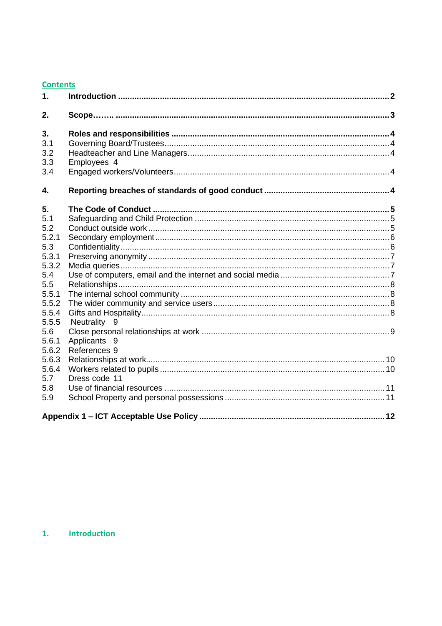## **Contents**

| 1.             |               |  |
|----------------|---------------|--|
| 2.             |               |  |
| 3.             |               |  |
| 3.1            |               |  |
| 3.2            |               |  |
| 3.3            | Employees 4   |  |
| 3.4            |               |  |
| 4.             |               |  |
| 5.             |               |  |
| 5.1            |               |  |
| 5.2            |               |  |
| 5.2.1          |               |  |
| 5.3            |               |  |
| 5.3.1          |               |  |
| 5.3.2          |               |  |
| 5.4            |               |  |
| 5.5            |               |  |
| 5.5.1          |               |  |
| 5.5.2          |               |  |
| 5.5.4<br>5.5.5 |               |  |
| 5.6            | Neutrality 9  |  |
| 5.6.1          | Applicants 9  |  |
| 5.6.2          | References 9  |  |
| 5.6.3          |               |  |
| 5.6.4          |               |  |
| 5.7            | Dress code 11 |  |
| 5.8            |               |  |
| 5.9            |               |  |
|                |               |  |

# <span id="page-1-0"></span>1. Introduction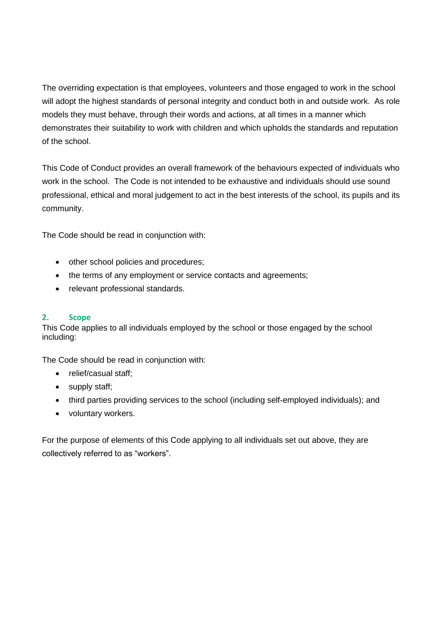The overriding expectation is that employees, volunteers and those engaged to work in the school will adopt the highest standards of personal integrity and conduct both in and outside work. As role models they must behave, through their words and actions, at all times in a manner which demonstrates their suitability to work with children and which upholds the standards and reputation of the school.

This Code of Conduct provides an overall framework of the behaviours expected of individuals who work in the school. The Code is not intended to be exhaustive and individuals should use sound professional, ethical and moral judgement to act in the best interests of the school, its pupils and its community.

The Code should be read in conjunction with:

- other school policies and procedures;
- the terms of any employment or service contacts and agreements;
- relevant professional standards.

# <span id="page-2-0"></span>**2. Scope**

This Code applies to all individuals employed by the school or those engaged by the school including:

The Code should be read in conjunction with:

- relief/casual staff;
- supply staff;
- third parties providing services to the school (including self-employed individuals); and
- voluntary workers.

For the purpose of elements of this Code applying to all individuals set out above, they are collectively referred to as "workers".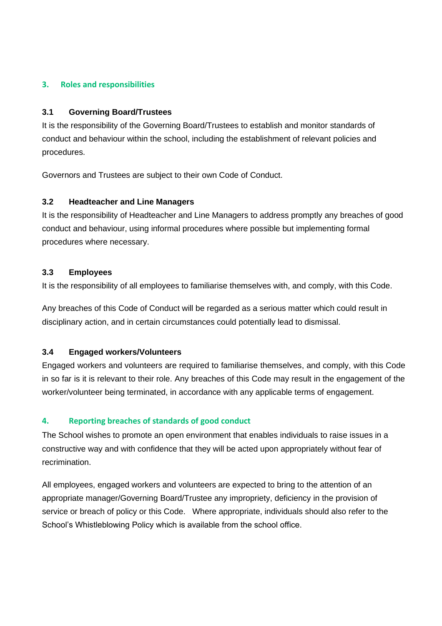## <span id="page-3-0"></span>**3. Roles and responsibilities**

#### <span id="page-3-1"></span>**3.1 Governing Board/Trustees**

It is the responsibility of the Governing Board/Trustees to establish and monitor standards of conduct and behaviour within the school, including the establishment of relevant policies and procedures.

Governors and Trustees are subject to their own Code of Conduct.

## <span id="page-3-2"></span>**3.2 Headteacher and Line Managers**

It is the responsibility of Headteacher and Line Managers to address promptly any breaches of good conduct and behaviour, using informal procedures where possible but implementing formal procedures where necessary.

#### <span id="page-3-3"></span>**3.3 Employees**

It is the responsibility of all employees to familiarise themselves with, and comply, with this Code.

Any breaches of this Code of Conduct will be regarded as a serious matter which could result in disciplinary action, and in certain circumstances could potentially lead to dismissal.

# <span id="page-3-4"></span>**3.4 Engaged workers/Volunteers**

Engaged workers and volunteers are required to familiarise themselves, and comply, with this Code in so far is it is relevant to their role. Any breaches of this Code may result in the engagement of the worker/volunteer being terminated, in accordance with any applicable terms of engagement.

# <span id="page-3-5"></span>**4. Reporting breaches of standards of good conduct**

The School wishes to promote an open environment that enables individuals to raise issues in a constructive way and with confidence that they will be acted upon appropriately without fear of recrimination.

All employees, engaged workers and volunteers are expected to bring to the attention of an appropriate manager/Governing Board/Trustee any impropriety, deficiency in the provision of service or breach of policy or this Code. Where appropriate, individuals should also refer to the School's Whistleblowing Policy which is available from the school office.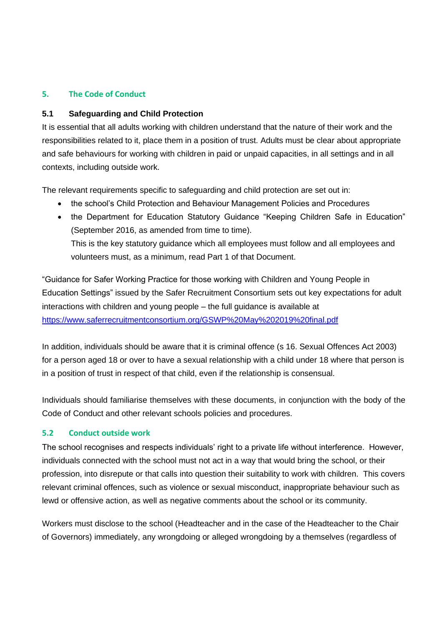# <span id="page-4-0"></span>**5. The Code of Conduct**

# <span id="page-4-1"></span>**5.1 Safeguarding and Child Protection**

It is essential that all adults working with children understand that the nature of their work and the responsibilities related to it, place them in a position of trust. Adults must be clear about appropriate and safe behaviours for working with children in paid or unpaid capacities, in all settings and in all contexts, including outside work.

The relevant requirements specific to safeguarding and child protection are set out in:

- the school's Child Protection and Behaviour Management Policies and Procedures
- the Department for Education Statutory Guidance "Keeping Children Safe in Education" (September 2016, as amended from time to time). This is the key statutory guidance which all employees must follow and all employees and volunteers must, as a minimum, read Part 1 of that Document.

"Guidance for Safer Working Practice for those working with Children and Young People in Education Settings" issued by the Safer Recruitment Consortium sets out key expectations for adult interactions with children and young people – the full guidance is available at <https://www.saferrecruitmentconsortium.org/GSWP%20May%202019%20final.pdf>

In addition, individuals should be aware that it is criminal offence (s 16. Sexual Offences Act 2003) for a person aged 18 or over to have a sexual relationship with a child under 18 where that person is in a position of trust in respect of that child, even if the relationship is consensual.

Individuals should familiarise themselves with these documents, in conjunction with the body of the Code of Conduct and other relevant schools policies and procedures.

# <span id="page-4-2"></span>**5.2 Conduct outside work**

The school recognises and respects individuals' right to a private life without interference. However, individuals connected with the school must not act in a way that would bring the school, or their profession, into disrepute or that calls into question their suitability to work with children. This covers relevant criminal offences, such as violence or sexual misconduct, inappropriate behaviour such as lewd or offensive action, as well as negative comments about the school or its community.

Workers must disclose to the school (Headteacher and in the case of the Headteacher to the Chair of Governors) immediately, any wrongdoing or alleged wrongdoing by a themselves (regardless of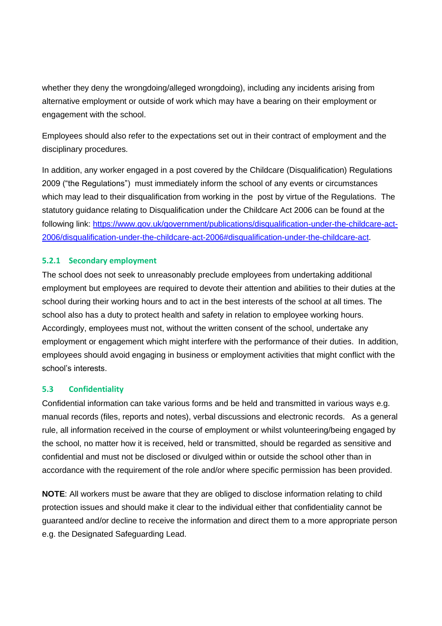whether they deny the wrongdoing/alleged wrongdoing), including any incidents arising from alternative employment or outside of work which may have a bearing on their employment or engagement with the school.

Employees should also refer to the expectations set out in their contract of employment and the disciplinary procedures.

In addition, any worker engaged in a post covered by the Childcare (Disqualification) Regulations 2009 ("the Regulations") must immediately inform the school of any events or circumstances which may lead to their disqualification from working in the post by virtue of the Regulations. The statutory guidance relating to Disqualification under the Childcare Act 2006 can be found at the following link: [https://www.gov.uk/government/publications/disqualification-under-the-childcare-act-](https://www.gov.uk/government/publications/disqualification-under-the-childcare-act-2006/disqualification-under-the-childcare-act-2006#disqualification-under-the-childcare-act)[2006/disqualification-under-the-childcare-act-2006#disqualification-under-the-childcare-act.](https://www.gov.uk/government/publications/disqualification-under-the-childcare-act-2006/disqualification-under-the-childcare-act-2006#disqualification-under-the-childcare-act)

# <span id="page-5-0"></span>**5.2.1 Secondary employment**

The school does not seek to unreasonably preclude employees from undertaking additional employment but employees are required to devote their attention and abilities to their duties at the school during their working hours and to act in the best interests of the school at all times. The school also has a duty to protect health and safety in relation to employee working hours. Accordingly, employees must not, without the written consent of the school, undertake any employment or engagement which might interfere with the performance of their duties. In addition, employees should avoid engaging in business or employment activities that might conflict with the school's interests.

#### <span id="page-5-1"></span>**5.3 Confidentiality**

Confidential information can take various forms and be held and transmitted in various ways e.g. manual records (files, reports and notes), verbal discussions and electronic records. As a general rule, all information received in the course of employment or whilst volunteering/being engaged by the school, no matter how it is received, held or transmitted, should be regarded as sensitive and confidential and must not be disclosed or divulged within or outside the school other than in accordance with the requirement of the role and/or where specific permission has been provided.

**NOTE**: All workers must be aware that they are obliged to disclose information relating to child protection issues and should make it clear to the individual either that confidentiality cannot be guaranteed and/or decline to receive the information and direct them to a more appropriate person e.g. the Designated Safeguarding Lead.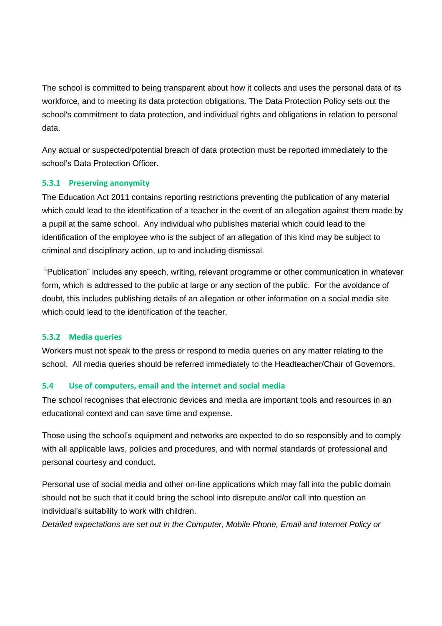The school is committed to being transparent about how it collects and uses the personal data of its workforce, and to meeting its data protection obligations. The Data Protection Policy sets out the school's commitment to data protection, and individual rights and obligations in relation to personal data.

Any actual or suspected/potential breach of data protection must be reported immediately to the school's Data Protection Officer.

# <span id="page-6-0"></span>**5.3.1 Preserving anonymity**

The Education Act 2011 contains reporting restrictions preventing the publication of any material which could lead to the identification of a teacher in the event of an allegation against them made by a pupil at the same school. Any individual who publishes material which could lead to the identification of the employee who is the subject of an allegation of this kind may be subject to criminal and disciplinary action, up to and including dismissal.

"Publication" includes any speech, writing, relevant programme or other communication in whatever form, which is addressed to the public at large or any section of the public. For the avoidance of doubt, this includes publishing details of an allegation or other information on a social media site which could lead to the identification of the teacher.

#### <span id="page-6-1"></span>**5.3.2 Media queries**

Workers must not speak to the press or respond to media queries on any matter relating to the school. All media queries should be referred immediately to the Headteacher/Chair of Governors.

# <span id="page-6-2"></span>**5.4 Use of computers, email and the internet and social media**

The school recognises that electronic devices and media are important tools and resources in an educational context and can save time and expense.

Those using the school's equipment and networks are expected to do so responsibly and to comply with all applicable laws, policies and procedures, and with normal standards of professional and personal courtesy and conduct.

Personal use of social media and other on-line applications which may fall into the public domain should not be such that it could bring the school into disrepute and/or call into question an individual's suitability to work with children.

*Detailed expectations are set out in the Computer, Mobile Phone, Email and Internet Policy or*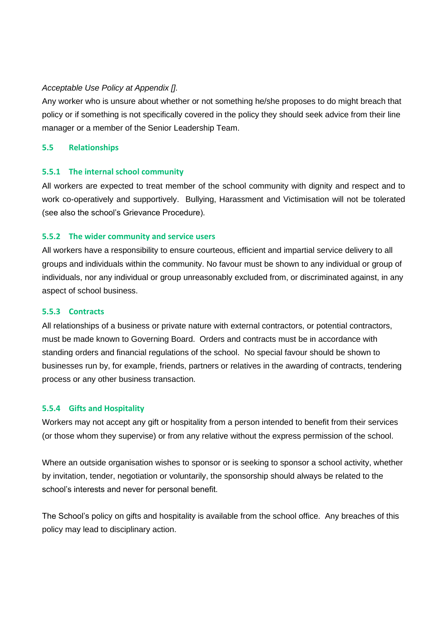## *Acceptable Use Policy at Appendix [].*

Any worker who is unsure about whether or not something he/she proposes to do might breach that policy or if something is not specifically covered in the policy they should seek advice from their line manager or a member of the Senior Leadership Team.

## <span id="page-7-0"></span>**5.5 Relationships**

## <span id="page-7-1"></span>**5.5.1 The internal school community**

All workers are expected to treat member of the school community with dignity and respect and to work co-operatively and supportively. Bullying, Harassment and Victimisation will not be tolerated (see also the school's Grievance Procedure).

## <span id="page-7-2"></span>**5.5.2 The wider community and service users**

All workers have a responsibility to ensure courteous, efficient and impartial service delivery to all groups and individuals within the community. No favour must be shown to any individual or group of individuals, nor any individual or group unreasonably excluded from, or discriminated against, in any aspect of school business.

#### **5.5.3 Contracts**

All relationships of a business or private nature with external contractors, or potential contractors, must be made known to Governing Board. Orders and contracts must be in accordance with standing orders and financial regulations of the school. No special favour should be shown to businesses run by, for example, friends, partners or relatives in the awarding of contracts, tendering process or any other business transaction.

#### <span id="page-7-3"></span>**5.5.4 Gifts and Hospitality**

Workers may not accept any gift or hospitality from a person intended to benefit from their services (or those whom they supervise) or from any relative without the express permission of the school.

Where an outside organisation wishes to sponsor or is seeking to sponsor a school activity, whether by invitation, tender, negotiation or voluntarily, the sponsorship should always be related to the school's interests and never for personal benefit.

The School's policy on gifts and hospitality is available from the school office. Any breaches of this policy may lead to disciplinary action.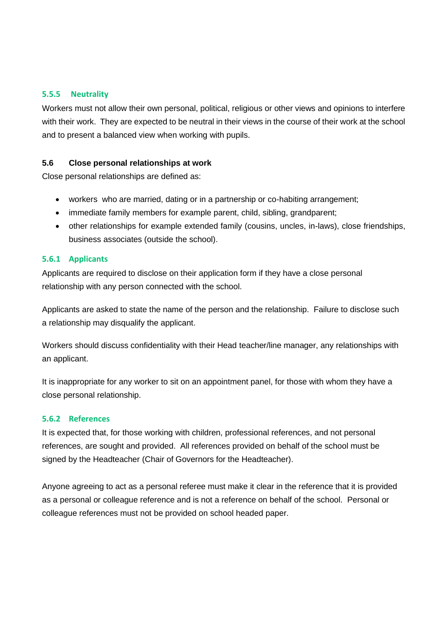#### <span id="page-8-0"></span>**5.5.5 Neutrality**

Workers must not allow their own personal, political, religious or other views and opinions to interfere with their work. They are expected to be neutral in their views in the course of their work at the school and to present a balanced view when working with pupils.

# <span id="page-8-1"></span>**5.6 Close personal relationships at work**

Close personal relationships are defined as:

- workers who are married, dating or in a partnership or co-habiting arrangement;
- immediate family members for example parent, child, sibling, grandparent;
- other relationships for example extended family (cousins, uncles, in-laws), close friendships, business associates (outside the school).

## <span id="page-8-2"></span>**5.6.1 Applicants**

Applicants are required to disclose on their application form if they have a close personal relationship with any person connected with the school.

Applicants are asked to state the name of the person and the relationship. Failure to disclose such a relationship may disqualify the applicant.

Workers should discuss confidentiality with their Head teacher/line manager, any relationships with an applicant.

It is inappropriate for any worker to sit on an appointment panel, for those with whom they have a close personal relationship.

## <span id="page-8-3"></span>**5.6.2 References**

It is expected that, for those working with children, professional references, and not personal references, are sought and provided. All references provided on behalf of the school must be signed by the Headteacher (Chair of Governors for the Headteacher).

Anyone agreeing to act as a personal referee must make it clear in the reference that it is provided as a personal or colleague reference and is not a reference on behalf of the school. Personal or colleague references must not be provided on school headed paper.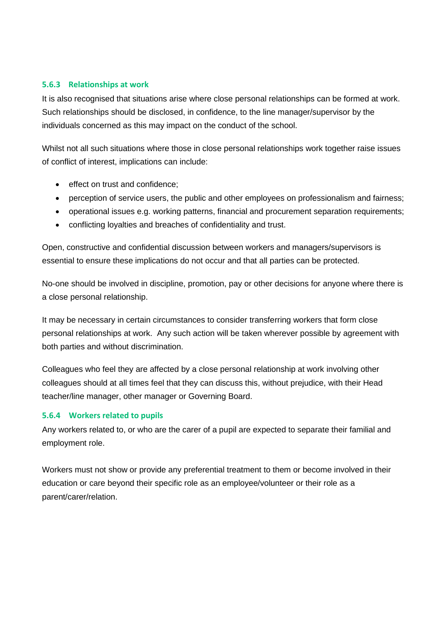## <span id="page-9-0"></span>**5.6.3 Relationships at work**

It is also recognised that situations arise where close personal relationships can be formed at work. Such relationships should be disclosed, in confidence, to the line manager/supervisor by the individuals concerned as this may impact on the conduct of the school.

Whilst not all such situations where those in close personal relationships work together raise issues of conflict of interest, implications can include:

- effect on trust and confidence:
- perception of service users, the public and other employees on professionalism and fairness;
- operational issues e.g. working patterns, financial and procurement separation requirements;
- conflicting loyalties and breaches of confidentiality and trust.

Open, constructive and confidential discussion between workers and managers/supervisors is essential to ensure these implications do not occur and that all parties can be protected.

No-one should be involved in discipline, promotion, pay or other decisions for anyone where there is a close personal relationship.

It may be necessary in certain circumstances to consider transferring workers that form close personal relationships at work. Any such action will be taken wherever possible by agreement with both parties and without discrimination.

Colleagues who feel they are affected by a close personal relationship at work involving other colleagues should at all times feel that they can discuss this, without prejudice, with their Head teacher/line manager, other manager or Governing Board.

#### <span id="page-9-1"></span>**5.6.4 Workers related to pupils**

Any workers related to, or who are the carer of a pupil are expected to separate their familial and employment role.

Workers must not show or provide any preferential treatment to them or become involved in their education or care beyond their specific role as an employee/volunteer or their role as a parent/carer/relation.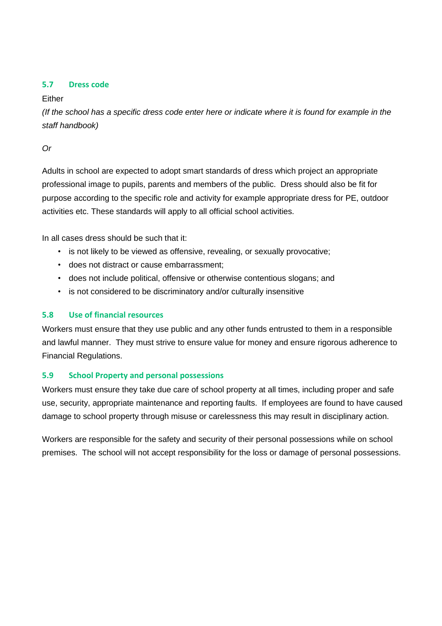# <span id="page-10-0"></span>**5.7 Dress code**

# Either

*(If the school has a specific dress code enter here or indicate where it is found for example in the staff handbook)*

*Or*

Adults in school are expected to adopt smart standards of dress which project an appropriate professional image to pupils, parents and members of the public. Dress should also be fit for purpose according to the specific role and activity for example appropriate dress for PE, outdoor activities etc. These standards will apply to all official school activities.

In all cases dress should be such that it:

- is not likely to be viewed as offensive, revealing, or sexually provocative;
- does not distract or cause embarrassment;
- does not include political, offensive or otherwise contentious slogans; and
- is not considered to be discriminatory and/or culturally insensitive

# <span id="page-10-1"></span>**5.8 Use of financial resources**

Workers must ensure that they use public and any other funds entrusted to them in a responsible and lawful manner. They must strive to ensure value for money and ensure rigorous adherence to Financial Regulations.

# <span id="page-10-2"></span>**5.9 School Property and personal possessions**

Workers must ensure they take due care of school property at all times, including proper and safe use, security, appropriate maintenance and reporting faults. If employees are found to have caused damage to school property through misuse or carelessness this may result in disciplinary action.

<span id="page-10-3"></span>Workers are responsible for the safety and security of their personal possessions while on school premises. The school will not accept responsibility for the loss or damage of personal possessions.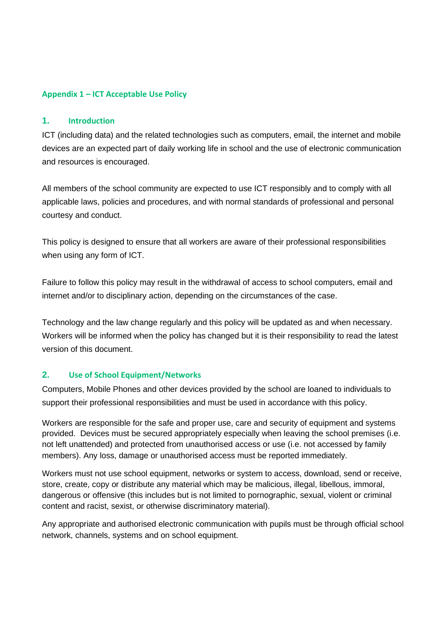## **Appendix 1 – ICT Acceptable Use Policy**

#### **1. Introduction**

ICT (including data) and the related technologies such as computers, email, the internet and mobile devices are an expected part of daily working life in school and the use of electronic communication and resources is encouraged.

All members of the school community are expected to use ICT responsibly and to comply with all applicable laws, policies and procedures, and with normal standards of professional and personal courtesy and conduct.

This policy is designed to ensure that all workers are aware of their professional responsibilities when using any form of ICT.

Failure to follow this policy may result in the withdrawal of access to school computers, email and internet and/or to disciplinary action, depending on the circumstances of the case.

Technology and the law change regularly and this policy will be updated as and when necessary. Workers will be informed when the policy has changed but it is their responsibility to read the latest version of this document.

# **2. Use of School Equipment/Networks**

Computers, Mobile Phones and other devices provided by the school are loaned to individuals to support their professional responsibilities and must be used in accordance with this policy.

Workers are responsible for the safe and proper use, care and security of equipment and systems provided. Devices must be secured appropriately especially when leaving the school premises (i.e. not left unattended) and protected from unauthorised access or use (i.e. not accessed by family members). Any loss, damage or unauthorised access must be reported immediately.

Workers must not use school equipment, networks or system to access, download, send or receive, store, create, copy or distribute any material which may be malicious, illegal, libellous, immoral, dangerous or offensive (this includes but is not limited to pornographic, sexual, violent or criminal content and racist, sexist, or otherwise discriminatory material).

Any appropriate and authorised electronic communication with pupils must be through official school network, channels, systems and on school equipment.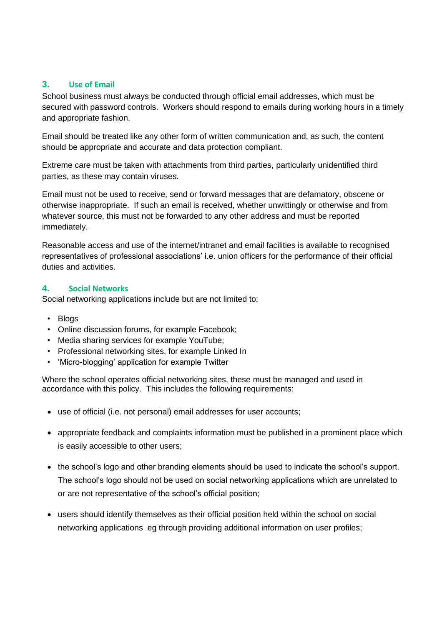## **3. Use of Email**

School business must always be conducted through official email addresses, which must be secured with password controls. Workers should respond to emails during working hours in a timely and appropriate fashion.

Email should be treated like any other form of written communication and, as such, the content should be appropriate and accurate and data protection compliant.

Extreme care must be taken with attachments from third parties, particularly unidentified third parties, as these may contain viruses.

Email must not be used to receive, send or forward messages that are defamatory, obscene or otherwise inappropriate. If such an email is received, whether unwittingly or otherwise and from whatever source, this must not be forwarded to any other address and must be reported immediately.

Reasonable access and use of the internet/intranet and email facilities is available to recognised representatives of professional associations' i.e. union officers for the performance of their official duties and activities.

#### **4. Social Networks**

Social networking applications include but are not limited to:

- Blogs
- Online discussion forums, for example Facebook;
- Media sharing services for example YouTube;
- Professional networking sites, for example Linked In
- 'Micro-blogging' application for example Twitter

Where the school operates official networking sites, these must be managed and used in accordance with this policy. This includes the following requirements:

- use of official (i.e. not personal) email addresses for user accounts;
- appropriate feedback and complaints information must be published in a prominent place which is easily accessible to other users;
- the school's logo and other branding elements should be used to indicate the school's support. The school's logo should not be used on social networking applications which are unrelated to or are not representative of the school's official position;
- users should identify themselves as their official position held within the school on social networking applications eg through providing additional information on user profiles;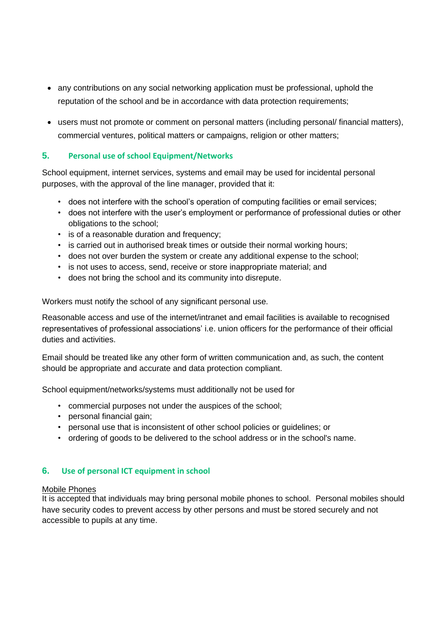- any contributions on any social networking application must be professional, uphold the reputation of the school and be in accordance with data protection requirements;
- users must not promote or comment on personal matters (including personal/ financial matters), commercial ventures, political matters or campaigns, religion or other matters;

# **5. Personal use of school Equipment/Networks**

School equipment, internet services, systems and email may be used for incidental personal purposes, with the approval of the line manager, provided that it:

- does not interfere with the school's operation of computing facilities or email services;
- does not interfere with the user's employment or performance of professional duties or other obligations to the school;
- is of a reasonable duration and frequency;
- is carried out in authorised break times or outside their normal working hours;
- does not over burden the system or create any additional expense to the school;
- is not uses to access, send, receive or store inappropriate material; and
- does not bring the school and its community into disrepute.

Workers must notify the school of any significant personal use.

Reasonable access and use of the internet/intranet and email facilities is available to recognised representatives of professional associations' i.e. union officers for the performance of their official duties and activities.

Email should be treated like any other form of written communication and, as such, the content should be appropriate and accurate and data protection compliant.

School equipment/networks/systems must additionally not be used for

- commercial purposes not under the auspices of the school;
- personal financial gain;
- personal use that is inconsistent of other school policies or guidelines; or
- ordering of goods to be delivered to the school address or in the school's name.

# **6. Use of personal ICT equipment in school**

#### Mobile Phones

It is accepted that individuals may bring personal mobile phones to school. Personal mobiles should have security codes to prevent access by other persons and must be stored securely and not accessible to pupils at any time.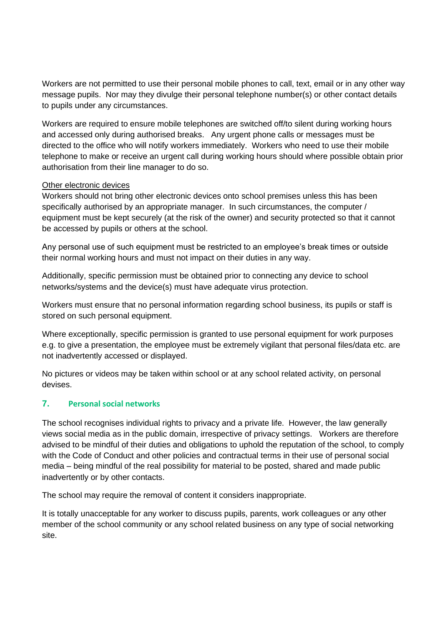Workers are not permitted to use their personal mobile phones to call, text, email or in any other way message pupils. Nor may they divulge their personal telephone number(s) or other contact details to pupils under any circumstances.

Workers are required to ensure mobile telephones are switched off/to silent during working hours and accessed only during authorised breaks. Any urgent phone calls or messages must be directed to the office who will notify workers immediately. Workers who need to use their mobile telephone to make or receive an urgent call during working hours should where possible obtain prior authorisation from their line manager to do so.

#### Other electronic devices

Workers should not bring other electronic devices onto school premises unless this has been specifically authorised by an appropriate manager. In such circumstances, the computer / equipment must be kept securely (at the risk of the owner) and security protected so that it cannot be accessed by pupils or others at the school.

Any personal use of such equipment must be restricted to an employee's break times or outside their normal working hours and must not impact on their duties in any way.

Additionally, specific permission must be obtained prior to connecting any device to school networks/systems and the device(s) must have adequate virus protection.

Workers must ensure that no personal information regarding school business, its pupils or staff is stored on such personal equipment.

Where exceptionally, specific permission is granted to use personal equipment for work purposes e.g. to give a presentation, the employee must be extremely vigilant that personal files/data etc. are not inadvertently accessed or displayed.

No pictures or videos may be taken within school or at any school related activity, on personal devises.

## **7. Personal social networks**

The school recognises individual rights to privacy and a private life. However, the law generally views social media as in the public domain, irrespective of privacy settings. Workers are therefore advised to be mindful of their duties and obligations to uphold the reputation of the school, to comply with the Code of Conduct and other policies and contractual terms in their use of personal social media – being mindful of the real possibility for material to be posted, shared and made public inadvertently or by other contacts.

The school may require the removal of content it considers inappropriate.

It is totally unacceptable for any worker to discuss pupils, parents, work colleagues or any other member of the school community or any school related business on any type of social networking site.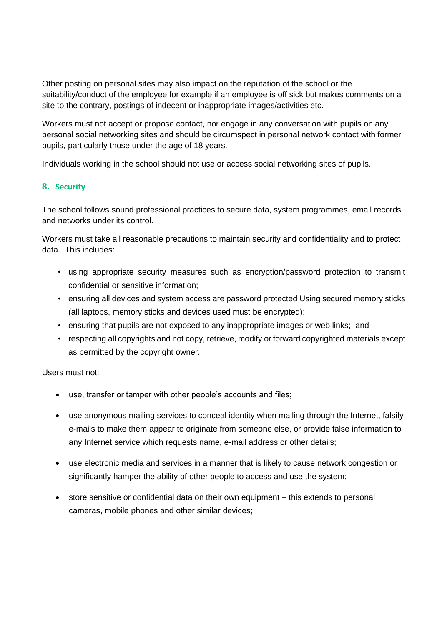Other posting on personal sites may also impact on the reputation of the school or the suitability/conduct of the employee for example if an employee is off sick but makes comments on a site to the contrary, postings of indecent or inappropriate images/activities etc.

Workers must not accept or propose contact, nor engage in any conversation with pupils on any personal social networking sites and should be circumspect in personal network contact with former pupils, particularly those under the age of 18 years.

Individuals working in the school should not use or access social networking sites of pupils.

# **8. Security**

The school follows sound professional practices to secure data, system programmes, email records and networks under its control.

Workers must take all reasonable precautions to maintain security and confidentiality and to protect data. This includes:

- using appropriate security measures such as encryption/password protection to transmit confidential or sensitive information;
- ensuring all devices and system access are password protected Using secured memory sticks (all laptops, memory sticks and devices used must be encrypted);
- ensuring that pupils are not exposed to any inappropriate images or web links; and
- respecting all copyrights and not copy, retrieve, modify or forward copyrighted materials except as permitted by the copyright owner.

Users must not:

- use, transfer or tamper with other people's accounts and files;
- use anonymous mailing services to conceal identity when mailing through the Internet, falsify e-mails to make them appear to originate from someone else, or provide false information to any Internet service which requests name, e-mail address or other details;
- use electronic media and services in a manner that is likely to cause network congestion or significantly hamper the ability of other people to access and use the system;
- store sensitive or confidential data on their own equipment this extends to personal cameras, mobile phones and other similar devices;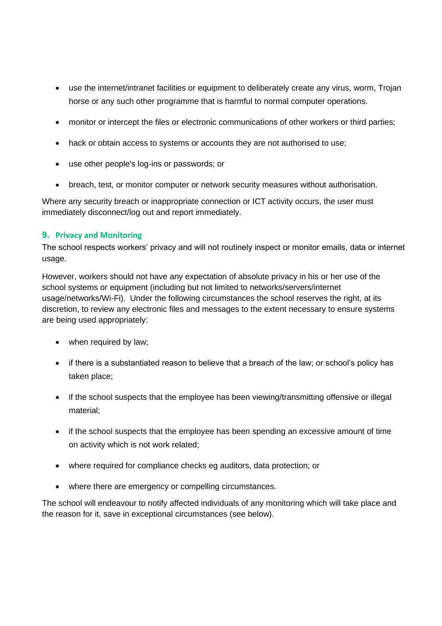- use the internet/intranet facilities or equipment to deliberately create any virus, worm, Trojan horse or any such other programme that is harmful to normal computer operations.
- monitor or intercept the files or electronic communications of other workers or third parties;
- hack or obtain access to systems or accounts they are not authorised to use;
- use other people's log-ins or passwords; or
- breach, test, or monitor computer or network security measures without authorisation.

Where any security breach or inappropriate connection or ICT activity occurs, the user must immediately disconnect/log out and report immediately.

#### **9. Privacy and Monitoring**

The school respects workers' privacy and will not routinely inspect or monitor emails, data or internet usage.

However, workers should not have any expectation of absolute privacy in his or her use of the school systems or equipment (including but not limited to networks/servers/internet usage/networks/Wi-Fi). Under the following circumstances the school reserves the right, at its discretion, to review any electronic files and messages to the extent necessary to ensure systems are being used appropriately:

- when required by law;
- if there is a substantiated reason to believe that a breach of the law; or school's policy has taken place;
- if the school suspects that the employee has been viewing/transmitting offensive or illegal material;
- if the school suspects that the employee has been spending an excessive amount of time on activity which is not work related;
- where required for compliance checks eg auditors, data protection; or
- where there are emergency or compelling circumstances.

The school will endeavour to notify affected individuals of any monitoring which will take place and the reason for it, save in exceptional circumstances (see below).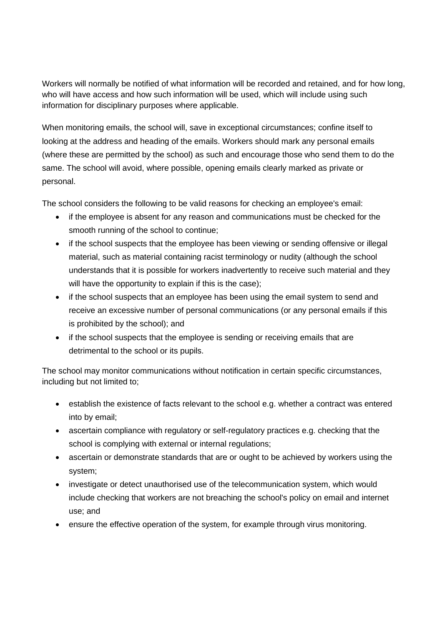Workers will normally be notified of what information will be recorded and retained, and for how long, who will have access and how such information will be used, which will include using such information for disciplinary purposes where applicable.

When monitoring emails, the school will, save in exceptional circumstances; confine itself to looking at the address and heading of the emails. Workers should mark any personal emails (where these are permitted by the school) as such and encourage those who send them to do the same. The school will avoid, where possible, opening emails clearly marked as private or personal.

The school considers the following to be valid reasons for checking an employee's email:

- if the employee is absent for any reason and communications must be checked for the smooth running of the school to continue;
- if the school suspects that the employee has been viewing or sending offensive or illegal material, such as material containing racist terminology or nudity (although the school understands that it is possible for workers inadvertently to receive such material and they will have the opportunity to explain if this is the case);
- if the school suspects that an employee has been using the email system to send and receive an excessive number of personal communications (or any personal emails if this is prohibited by the school); and
- if the school suspects that the employee is sending or receiving emails that are detrimental to the school or its pupils.

The school may monitor communications without notification in certain specific circumstances, including but not limited to;

- establish the existence of facts relevant to the school e.g. whether a contract was entered into by email;
- ascertain compliance with regulatory or self-regulatory practices e.g. checking that the school is complying with external or internal regulations;
- ascertain or demonstrate standards that are or ought to be achieved by workers using the system;
- investigate or detect unauthorised use of the telecommunication system, which would include checking that workers are not breaching the school's policy on email and internet use; and
- ensure the effective operation of the system, for example through virus monitoring.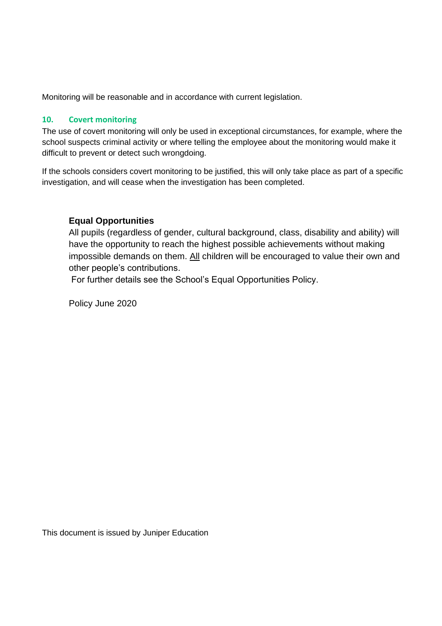Monitoring will be reasonable and in accordance with current legislation.

## **10. Covert monitoring**

The use of covert monitoring will only be used in exceptional circumstances, for example, where the school suspects criminal activity or where telling the employee about the monitoring would make it difficult to prevent or detect such wrongdoing.

If the schools considers covert monitoring to be justified, this will only take place as part of a specific investigation, and will cease when the investigation has been completed.

# **Equal Opportunities**

All pupils (regardless of gender, cultural background, class, disability and ability) will have the opportunity to reach the highest possible achievements without making impossible demands on them. All children will be encouraged to value their own and other people's contributions.

For further details see the School's Equal Opportunities Policy.

Policy June 2020

This document is issued by Juniper Education